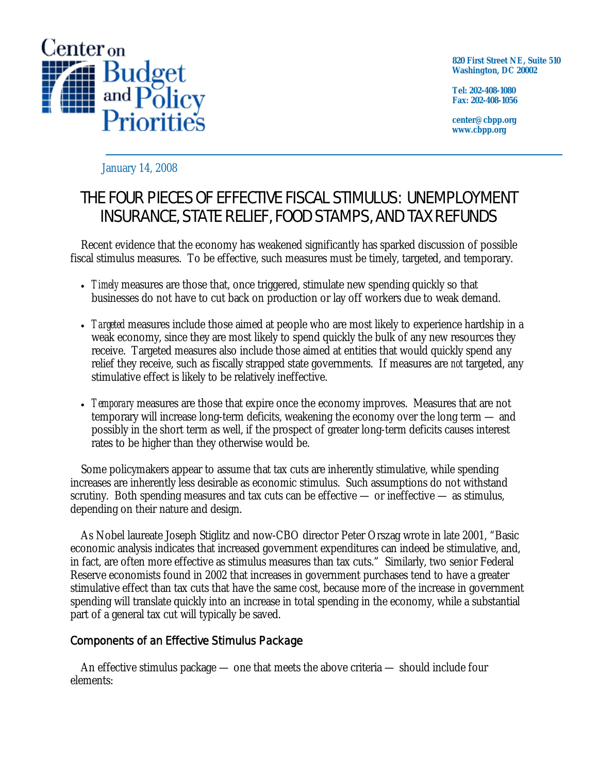

**820 First Street NE, Suite 510 Washington, DC 20002** 

**Tel: 202-408-1080 Fax: 202-408-1056** 

**center@cbpp.org www.cbpp.org** 

January 14, 2008

## THE FOUR PIECES OF EFFECTIVE FISCAL STIMULUS: UNEMPLOYMENT INSURANCE, STATE RELIEF, FOOD STAMPS, AND TAX REFUNDS

 Recent evidence that the economy has weakened significantly has sparked discussion of possible fiscal stimulus measures. To be effective, such measures must be timely, targeted, and temporary.

- *Timely* measures are those that, once triggered, stimulate new spending quickly so that businesses do not have to cut back on production or lay off workers due to weak demand.
- *Targeted* measures include those aimed at people who are most likely to experience hardship in a weak economy, since they are most likely to spend quickly the bulk of any new resources they receive. Targeted measures also include those aimed at entities that would quickly spend any relief they receive, such as fiscally strapped state governments. If measures are *not* targeted, any stimulative effect is likely to be relatively ineffective.
- *Temporary* measures are those that expire once the economy improves. Measures that are not temporary will increase long-term deficits, weakening the economy over the long term — and possibly in the short term as well, if the prospect of greater long-term deficits causes interest rates to be higher than they otherwise would be.

 Some policymakers appear to assume that tax cuts are inherently stimulative, while spending increases are inherently less desirable as economic stimulus. Such assumptions do not withstand scrutiny. Both spending measures and tax cuts can be effective — or ineffective — as stimulus, depending on their nature and design.

 As Nobel laureate Joseph Stiglitz and now-CBO director Peter Orszag wrote in late 2001, "Basic economic analysis indicates that increased government expenditures can indeed be stimulative, and, in fact, are often more effective as stimulus measures than tax cuts." Similarly, two senior Federal Reserve economists found in 2002 that increases in government purchases tend to have a greater stimulative effect than tax cuts that have the same cost, because more of the increase in government spending will translate quickly into an increase in total spending in the economy, while a substantial part of a general tax cut will typically be saved.

## Components of an Effective Stimulus Package

An effective stimulus package — one that meets the above criteria — should include four elements: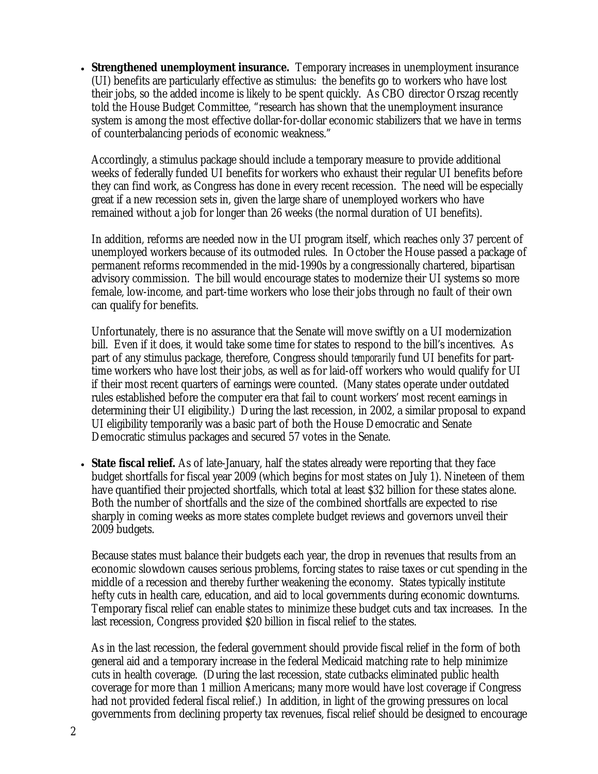• **Strengthened unemployment insurance.** Temporary increases in unemployment insurance (UI) benefits are particularly effective as stimulus: the benefits go to workers who have lost their jobs, so the added income is likely to be spent quickly. As CBO director Orszag recently told the House Budget Committee, "research has shown that the unemployment insurance system is among the most effective dollar-for-dollar economic stabilizers that we have in terms of counterbalancing periods of economic weakness."

Accordingly, a stimulus package should include a temporary measure to provide additional weeks of federally funded UI benefits for workers who exhaust their regular UI benefits before they can find work, as Congress has done in every recent recession. The need will be especially great if a new recession sets in, given the large share of unemployed workers who have remained without a job for longer than 26 weeks (the normal duration of UI benefits).

In addition, reforms are needed now in the UI program itself, which reaches only 37 percent of unemployed workers because of its outmoded rules. In October the House passed a package of permanent reforms recommended in the mid-1990s by a congressionally chartered, bipartisan advisory commission. The bill would encourage states to modernize their UI systems so more female, low-income, and part-time workers who lose their jobs through no fault of their own can qualify for benefits.

Unfortunately, there is no assurance that the Senate will move swiftly on a UI modernization bill. Even if it does, it would take some time for states to respond to the bill's incentives. As part of any stimulus package, therefore, Congress should *temporarily* fund UI benefits for parttime workers who have lost their jobs, as well as for laid-off workers who would qualify for UI if their most recent quarters of earnings were counted. (Many states operate under outdated rules established before the computer era that fail to count workers' most recent earnings in determining their UI eligibility.) During the last recession, in 2002, a similar proposal to expand UI eligibility temporarily was a basic part of both the House Democratic and Senate Democratic stimulus packages and secured 57 votes in the Senate.

• **State fiscal relief.** As of late-January, half the states already were reporting that they face budget shortfalls for fiscal year 2009 (which begins for most states on July 1). Nineteen of them have quantified their projected shortfalls, which total at least \$32 billion for these states alone. Both the number of shortfalls and the size of the combined shortfalls are expected to rise sharply in coming weeks as more states complete budget reviews and governors unveil their 2009 budgets.

Because states must balance their budgets each year, the drop in revenues that results from an economic slowdown causes serious problems, forcing states to raise taxes or cut spending in the middle of a recession and thereby further weakening the economy. States typically institute hefty cuts in health care, education, and aid to local governments during economic downturns. Temporary fiscal relief can enable states to minimize these budget cuts and tax increases. In the last recession, Congress provided \$20 billion in fiscal relief to the states.

As in the last recession, the federal government should provide fiscal relief in the form of both general aid and a temporary increase in the federal Medicaid matching rate to help minimize cuts in health coverage. (During the last recession, state cutbacks eliminated public health coverage for more than 1 million Americans; many more would have lost coverage if Congress had not provided federal fiscal relief.) In addition, in light of the growing pressures on local governments from declining property tax revenues, fiscal relief should be designed to encourage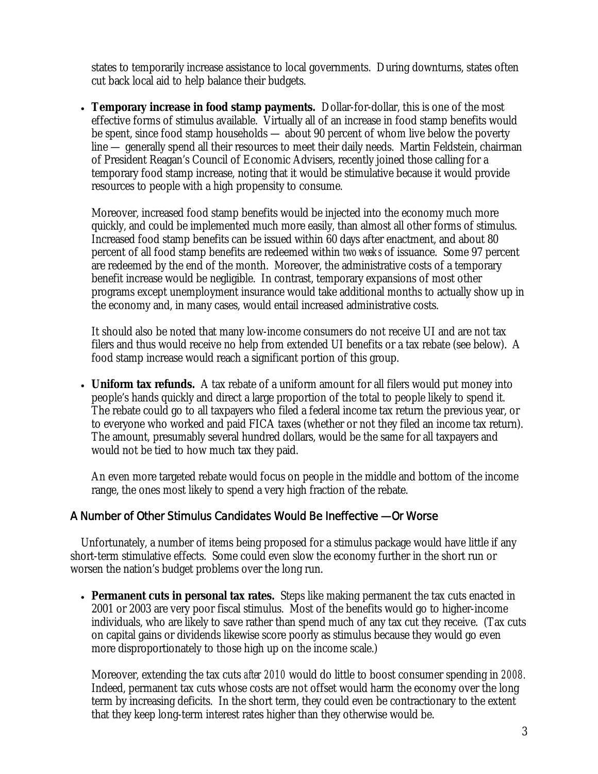states to temporarily increase assistance to local governments. During downturns, states often cut back local aid to help balance their budgets.

• **Temporary increase in food stamp payments.** Dollar-for-dollar, this is one of the most effective forms of stimulus available. Virtually all of an increase in food stamp benefits would be spent, since food stamp households — about 90 percent of whom live below the poverty line — generally spend all their resources to meet their daily needs. Martin Feldstein, chairman of President Reagan's Council of Economic Advisers, recently joined those calling for a temporary food stamp increase, noting that it would be stimulative because it would provide resources to people with a high propensity to consume.

Moreover, increased food stamp benefits would be injected into the economy much more quickly, and could be implemented much more easily, than almost all other forms of stimulus. Increased food stamp benefits can be issued within 60 days after enactment, and about 80 percent of all food stamp benefits are redeemed within *two weeks* of issuance. Some 97 percent are redeemed by the end of the month. Moreover, the administrative costs of a temporary benefit increase would be negligible. In contrast, temporary expansions of most other programs except unemployment insurance would take additional months to actually show up in the economy and, in many cases, would entail increased administrative costs.

It should also be noted that many low-income consumers do not receive UI and are not tax filers and thus would receive no help from extended UI benefits or a tax rebate (see below). A food stamp increase would reach a significant portion of this group.

• **Uniform tax refunds.** A tax rebate of a uniform amount for all filers would put money into people's hands quickly and direct a large proportion of the total to people likely to spend it. The rebate could go to all taxpayers who filed a federal income tax return the previous year, or to everyone who worked and paid FICA taxes (whether or not they filed an income tax return). The amount, presumably several hundred dollars, would be the same for all taxpayers and would not be tied to how much tax they paid.

An even more targeted rebate would focus on people in the middle and bottom of the income range, the ones most likely to spend a very high fraction of the rebate.

## A Number of Other Stimulus Candidates Would Be Ineffective — Or Worse

 Unfortunately, a number of items being proposed for a stimulus package would have little if any short-term stimulative effects. Some could even slow the economy further in the short run or worsen the nation's budget problems over the long run.

• **Permanent cuts in personal tax rates.** Steps like making permanent the tax cuts enacted in 2001 or 2003 are very poor fiscal stimulus. Most of the benefits would go to higher-income individuals, who are likely to save rather than spend much of any tax cut they receive. (Tax cuts on capital gains or dividends likewise score poorly as stimulus because they would go even more disproportionately to those high up on the income scale.)

Moreover, extending the tax cuts *after 2010* would do little to boost consumer spending in *2008.* Indeed, permanent tax cuts whose costs are not offset would harm the economy over the long term by increasing deficits. In the short term, they could even be contractionary to the extent that they keep long-term interest rates higher than they otherwise would be.